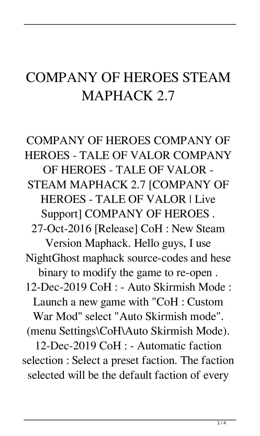## COMPANY OF HEROES STEAM MAPHACK 2.7

COMPANY OF HEROES COMPANY OF HEROES - TALE OF VALOR COMPANY OF HEROES - TALE OF VALOR - STEAM MAPHACK 2.7 [COMPANY OF HEROES - TALE OF VALOR | Live Support] COMPANY OF HEROES . 27-Oct-2016 [Release] CoH : New Steam Version Maphack. Hello guys, I use NightGhost maphack source-codes and hese binary to modify the game to re-open . 12-Dec-2019 CoH : - Auto Skirmish Mode : Launch a new game with "CoH : Custom War Mod" select "Auto Skirmish mode". (menu Settings\CoH\Auto Skirmish Mode). 12-Dec-2019 CoH : - Automatic faction selection : Select a preset faction. The faction selected will be the default faction of every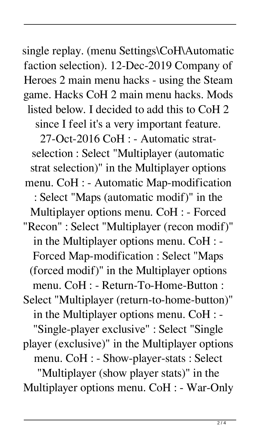single replay. (menu Settings\CoH\Automatic faction selection). 12-Dec-2019 Company of Heroes 2 main menu hacks - using the Steam game. Hacks CoH 2 main menu hacks. Mods listed below. I decided to add this to CoH 2 since I feel it's a very important feature. 27-Oct-2016 CoH : - Automatic stratselection : Select "Multiplayer (automatic strat selection)" in the Multiplayer options menu. CoH : - Automatic Map-modification : Select "Maps (automatic modif)" in the Multiplayer options menu. CoH : - Forced "Recon" : Select "Multiplayer (recon modif)" in the Multiplayer options menu. CoH : - Forced Map-modification : Select "Maps (forced modif)" in the Multiplayer options menu. CoH : - Return-To-Home-Button : Select "Multiplayer (return-to-home-button)" in the Multiplayer options menu. CoH : - "Single-player exclusive" : Select "Single player (exclusive)" in the Multiplayer options menu. CoH : - Show-player-stats : Select "Multiplayer (show player stats)" in the Multiplayer options menu. CoH : - War-Only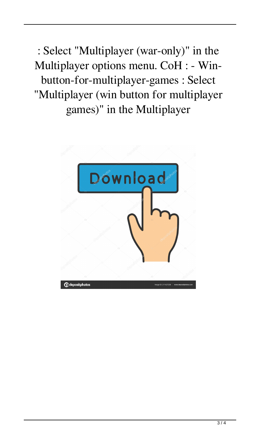: Select "Multiplayer (war-only)" in the Multiplayer options menu. CoH : - Winbutton-for-multiplayer-games : Select "Multiplayer (win button for multiplayer games)" in the Multiplayer